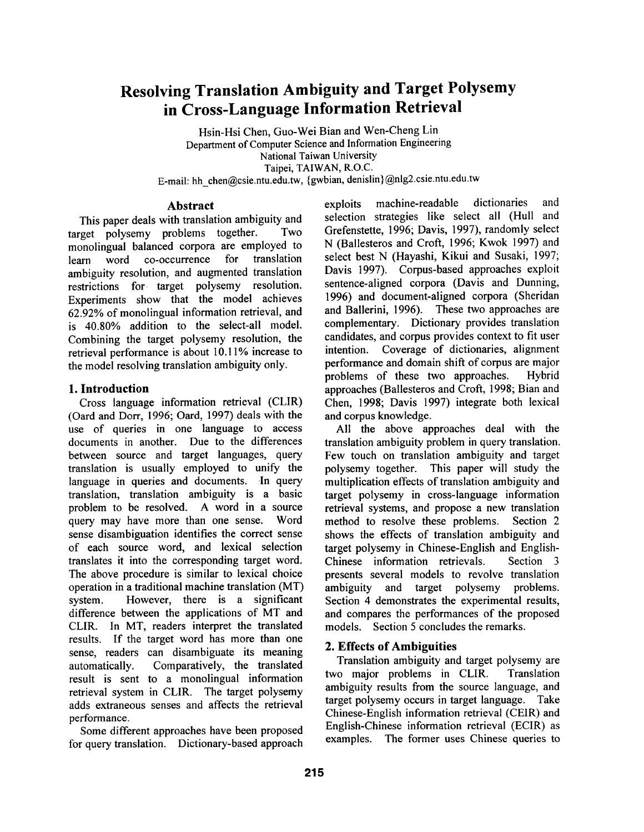# **Resolving Translation Ambiguity and Target Polysemy in Cross-Language Information Retrieval**

Hsin-Hsi Chen, Guo-Wei Bian and Wen-Cheng Lin Department of Computer Science and Information Engineering National Taiwan University, Taipei, TAIWAN, R.O.C. E-mail: hh\_chen@csie.ntu.edu.tw, {gwbian, denislin}@nlg2.csie.ntu.edu.tw

## **Abstract**

This paper deals with translation ambiguity and target polysemy problems together. Two monolingual balanced corpora are employed to learn word co-occurrence for translation ambiguity resolution, and augmented translation restrictions for target polysemy resolution. Experiments show that the model achieves 62.92% of monolingual information retrieval, and is 40.80% addition to the select-all model. Combining the target polysemy resolution, the retrieval performance is about 10.11% increase to the model resolving translation ambiguity only.

## **1. Introduction**

Cross language information retrieval (CLIR) (Oard and Dorr, 1996; Oard, 1997) deals with the use of queries in one language to access documents in another. Due to the differences between source and target languages, query translation is usually employed to unify the language in queries and documents. In query translation, translation ambiguity is a basic problem to be resolved. A word in a source query may have more than one sense. Word sense disambiguation identifies the correct sense of each source word, and lexical selection translates it into the corresponding target word. The above procedure is similar to lexical choice operation in a traditional machine translation (MT) system. However, there is a significant difference between the applications of MT and CLIR. In MT, readers interpret the translated results. If the target word has more than one sense, readers can disambiguate its meaning automatically. Comparatively, the translated result is sent to a monolingual information retrieval system in CLIR. The target polysemy adds extraneous senses and affects the retrieval performance.

Some different approaches have been proposed for query translation. Dictionary-based approach

exploits machine-readable dictionaries and selection strategies like select all (Hull and Grefenstette, 1996; Davis, 1997), randomly select N (Ballesteros and Croft, 1996; Kwok 1997) and select best N (Hayashi, Kikui and Susaki, 1997; Davis 1997). Corpus-based approaches exploit sentence-aligned corpora (Davis and Dunning, 1996) and document-aligned corpora (Sheridan and Ballerini, 1996). These two approaches are complementary. Dictionary provides translation candidates, and corpus provides context to fit user intention. Coverage of dictionaries, alignment performance and domain shift of corpus are major problems of these two approaches. Hybrid approaches (Ballesteros and Croft, 1998; Bian and Chen, 1998; Davis 1997) integrate both lexical and corpus knowledge.

All the above approaches deal with the translation ambiguity problem in query translation. Few touch on translation ambiguity and target polysemy together. This paper will study the multiplication effects of translation ambiguity and target polysemy in cross-language information retrieval systems, and propose a new translation method to resolve these problems. Section 2 shows the effects of translation ambiguity and target polysemy in Chinese-English and English-Chinese information retrievals. Section 3 presents several models to revolve translation ambiguity and target polysemy problems. Section 4 demonstrates the experimental results, and compares the performances of the proposed models. Section 5 concludes the remarks.

## **2. Effects of Ambiguities**

Translation ambiguity and target polysemy are two major problems in CLIR. Translation ambiguity results from the source language, and target polysemy occurs in target language. Take Chinese-English information retrieval (CEIR) and English-Chinese information retrieval (ECIR) as examples. The former uses Chinese queries to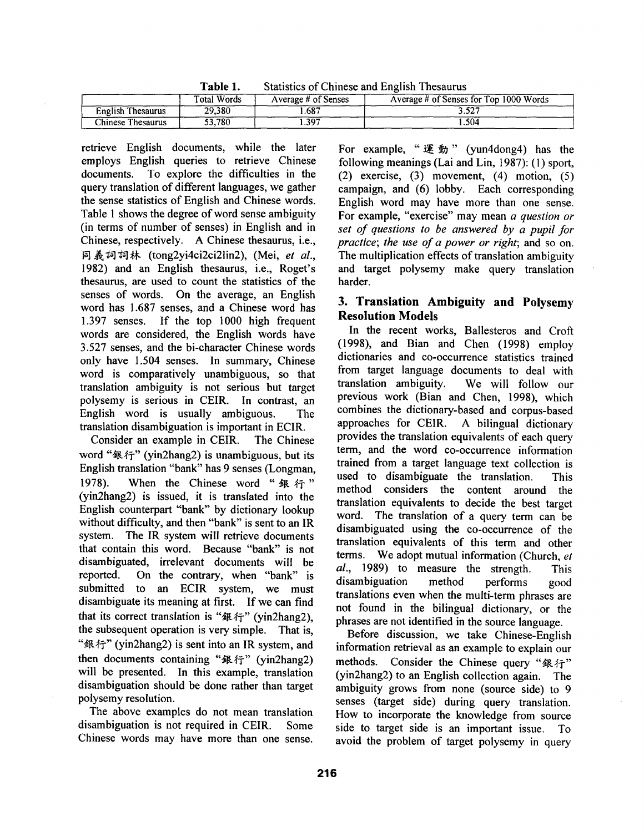**Table** 1. Statistics of Chinese and English Thesaurus

|                   | Total Words | Average # of Senses | Average # of Senses for Top 1000 Words |
|-------------------|-------------|---------------------|----------------------------------------|
| English Thesaurus | 29.380      | 687                 | 3.527                                  |
| Chinese Thesaurus | 53.780      | 397                 | .504                                   |

retrieve English documents, while the later employs English queries to retrieve Chinese documents. To explore the difficulties in the query translation of different languages, we gather the sense statistics of English and Chinese words. Table 1 shows the degree of word sense ambiguity (in terms of number of senses) in English and in Chinese, respectively. A Chinese thesaurus, i.e., 同義詞詞林 (tong2yi4ci2ci2lin2), (Mei, et al., 1982) and an English thesaurus, i.e., Roget's thesaurus, are used to count the statistics of the senses of words. On the average, an English word has 1.687 senses, and a Chinese word has 1.397 senses. If the top 1000 high frequent words are considered, the English words have 3.527 senses, and the bi-character Chinese words only have 1.504 senses. In summary, Chinese word is comparatively unambiguous, so that translation ambiguity is not serious but target polysemy is serious in CEIR. In contrast, an English word is usually ambiguous. The translation disambiguation is important in ECIR.

Consider an example in CEIR. The Chinese word " $#f''$  (yin2hang2) is unambiguous, but its English translation "bank" has 9 senses (Longman, 1978). When the Chinese word " $#$   $#$ " (yin2hang2) is issued, it is translated into the English counterpart "bank" by dictionary lookup without difficulty, and then "bank" is sent to an IR system. The IR system will retrieve documents that contain this word. Because "bank" is not disambiguated, irrelevant documents will be reported. On the contrary, when "bank" is submitted to an ECIR system, we must disambiguate its meaning at first. If we can find that its correct translation is " $##$ " (yin2hang2), the subsequent operation is very simple. That is, " $\mathcal{R}$   $\hat{\gamma}$ " (yin2hang2) is sent into an IR system, and then documents containing " $#$   $\uparrow$ " (yin2hang2) will be presented. In this example, translation disambiguation should be done rather than target polysemy resolution.

The above examples do not mean translation disambiguation is not required in CEIR. Some Chinese words may have more than one sense.

For example, "運動" (yun4dong4) has the following meanings (Lai and Lin, 1987): (1) sport, (2) exercise, (3) movement, (4) motion, (5) campaign, and (6) lobby. Each corresponding English word may have more than one sense. For example, "exercise" may mean *a question or set of questions to be answered by a pupil for practice; the use of a power or right;* and so on. The multiplication effects of translation ambiguity and target polysemy make query translation harder.

## **3. Translation Ambiguity and Polysemy Resolution Models**

In the recent works, Ballesteros and Croft (1998), and Bian and Chen (1998) employ dictionaries and co-occurrence statistics trained from target language documents to deal with translation ambiguity. We will follow our previous work (Bian and Chen, 1998), which combines the dictionary-based and corpus-based approaches for CEIR. A bilingual dictionary provides the translation equivalents of each query term, and the word co-occurrence information trained from a target language text collection is used to disambiguate the translation. This method considers the content around the translation equivalents to decide the best target word. The translation of a query term can be disambiguated using the co-occurrence of the translation equivalents of this term and other terms. We adopt mutual information (Church, *et al.,* 1989) to measure the strength. This disambiguation method performs good translations even when the multi-term phrases are not found in the bilingual dictionary, or the phrases are not identified in the source language.

Before discussion, we take Chinese-English information retrieval as an example to explain our methods. Consider the Chinese query " $#F$ " (yin2hang2) to an English collection again. The ambiguity grows from none (source side) to 9 senses (target side) during query translation. How to incorporate the knowledge from source side to target side is an important issue. To avoid the problem of target polysemy in query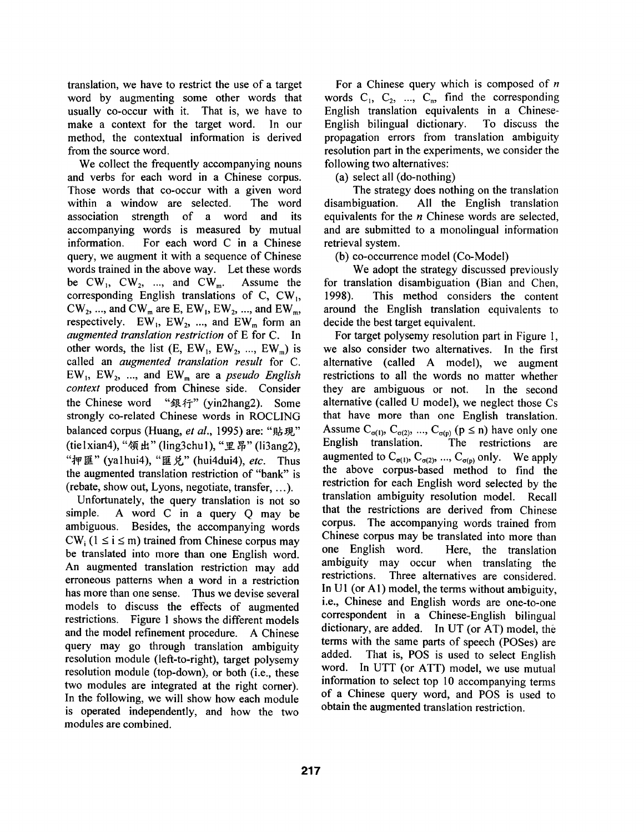translation, we have to restrict the use of a target word by augmenting some other words that usually co-occur with it. That is, we have to make a context for the target word. In our method, the contextual information is derived from the source word.

We collect the frequently accompanying nouns and verbs for each word in a Chinese corpus. Those words that co-occur with a given word within a window are selected. The word association strength of a word and its accompanying words is measured by mutual information. For each word C in a Chinese query, we augment it with a sequence of Chinese words trained in the above way. Let these words be  $CW_1$ ,  $CW_2$ , ..., and  $CW_m$ . Assume the corresponding English translations of C,  $CW_1$ ,  $CW_2$ , ..., and  $CW_m$  are E,  $EW_1$ ,  $EW_2$ , ..., and  $EW_m$ , respectively.  $EW_1$ ,  $EW_2$ , ..., and  $EW_m$  form an *augmented translation restriction* of E for C. In other words, the list  $(E, EW_1, EW_2, ..., EW_m)$  is called an *augmented translation result* for C.  $EW_1$ ,  $EW_2$ , ..., and  $EW_m$  are a *pseudo English context* produced from Chinese side. Consider the Chinese word " $\mathcal{R}$  #  $\mathcal{R}$ " (vin2hang2). Some strongly co-related Chinese words in ROCLING balanced corpus (Huang, et al., 1995) are: "貼現" (tie 1 xian 4), "領出" (ling3chu 1), "里昂" (li3ang2), "押匯" (ya1hui4), "匯 兑" (hui4dui4), *etc.* Thus the augmented translation restriction of "bank" is (rebate, show out, Lyons, negotiate, transfer, ...).

Unfortunately, the query translation is not so simple. A word C in a query Q may be ambiguous. Besides, the accompanying words  $CW_i$ ;  $(1 \le i \le m)$  trained from Chinese corpus may be translated into more than one English word. An augmented translation restriction may add erroneous patterns when a word in a restriction has more than one sense. Thus we devise several models to discuss the effects of augmented restrictions. Figure 1 shows the different models and the model refinement procedure. A Chinese query may go through translation ambiguity resolution module (left-to-right), target polysemy resolution module (top-down), or both (i.e., these two modules are integrated at the right corner). In the following, we will show how each module is operated independently, and how the two modules are combined.

For a Chinese query which is composed of  $n$ words  $C_1, C_2, \ldots, C_n$ , find the corresponding English translation equivalents in a Chinese-English bilingual dictionary. To discuss the propagation errors from translation ambiguity resolution part in the experiments, we consider the following two alternatives:

(a) select all (do-nothing)

The strategy does nothing on the translation disambiguation. All the English translation equivalents for the *n* Chinese words are selected, and are submitted to a monolingual information retrieval system.

(b) co-occurrence model (Co-Model)

We adopt the strategy discussed previously for translation disambiguation (Bian and Chen, 1998). This method considers the content around the English translation equivalents to decide the best target equivalent.

For target polysemy resolution part in Figure 1, we also consider two alternatives. In the first alternative (called A model), we augment restrictions to all the words no matter whether they are ambiguous or not. In the second alternative (called U model), we neglect those Cs that have more than one English translation. Assume  $C_{\sigma(1)}$ ,  $C_{\sigma(2)}$ , ...,  $C_{\sigma(p)}$  ( $p \le n$ ) have only one English translation. The restrictions are augmented to  $C_{\sigma(1)}$ ,  $C_{\sigma(2)}$ , ...,  $C_{\sigma(p)}$  only. We apply the above corpus-based method to find the restriction for each English word selected by the translation ambiguity resolution model. Recall that the restrictions are derived from Chinese corpus. The accompanying words trained from Chinese corpus may be translated into more than one English word. Here, the translation ambiguity may occur when translating the restrictions. Three alternatives are considered. In U1 (or A1) model, the terms without ambiguity, i.e., Chinese and English words are one-to-one correspondent in a Chinese-English bilingual dictionary, are added. In UT (or AT) model, the terms with the same parts of speech (POSes) are added. That is, POS is used to select English word. In UTT (or ATT) model, we use mutual information to select top 10 accompanying terms of a Chinese query word, and POS is used to obtain the augmented translation restriction.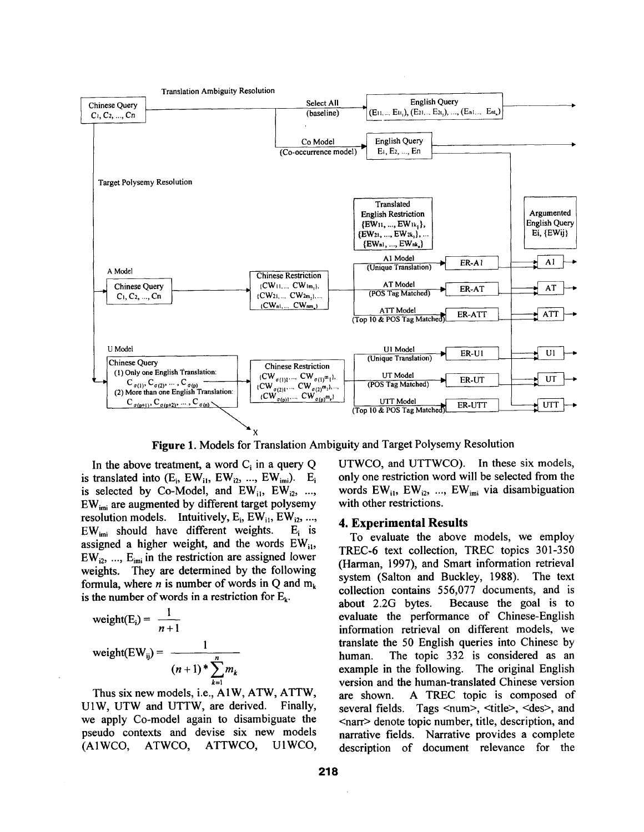

Figure 1. Models for Translation Ambiguity and Target Polysemy Resolution

In the above treatment, a word  $C_i$  in a query Q is translated into  $(E_i, EW_{i1}, EW_{i2}, ..., EW_{imi})$ .  $E_i$ is selected by Co-Model, and  $EW_{i1}$ ,  $EW_{i2}$ , ..., EWimi are augmented by different target polysemy resolution models. Intuitively,  $E_i$ , EW<sub>i1</sub>, EW<sub>i2</sub>, ...,  $EW_{\text{ini}}$  should have different weights. E<sub>i</sub> is assigned a higher weight, and the words  $EW_{ii}$ ,  $EW_{i2}$ , ...,  $E_{imi}$  in the restriction are assigned lower weights. They are determined by the following formula, where *n* is number of words in Q and  $m_k$ is the number of words in a restriction for  $E_k$ .

$$
\begin{aligned} \text{weight}(E_i) &= \frac{1}{n+1} \\ \text{weight}(EW_{ij}) &= \frac{1}{(n+1)^* \sum_{k=1}^n m_k} \end{aligned}
$$

Thus six new models, i.e., A1W, ATW, ATTW, U1W, UTW and UTTW, are derived. Finally, we apply Co-model again to disambiguate the pseudo contexts and devise six new models (A1WCO, ATWCO, ATTWCO, U1WCO,

UTWCO, and UTTWCO). In these six models, only one restriction word will be selected from the words  $EW_{i1}$ ,  $EW_{i2}$ , ...,  $EW_{imi}$  via disambiguation with other restrictions.

#### **4. Experimental Results**

To evaluate the above models, we employ TREC-6 text collection, TREC topics 301-350 (Harman, 1997), and Smart information retrieval system (Salton and Buckley, 1988). The text collection contains 556,077 documents, and is about 2.2G bytes. Because the goal is to evaluate the performance of Chinese-English information retrieval on different models, we translate the 50 English queries into Chinese by human. The topic 332 is considered as an example in the following. The original English version and the human-translated Chinese version are shown. A TREC topic is composed of several fields. Tags <num>, <title>, <des>, and <narr> denote topic number, title, description, and narrative fields. Narrative provides a complete description of document relevance for the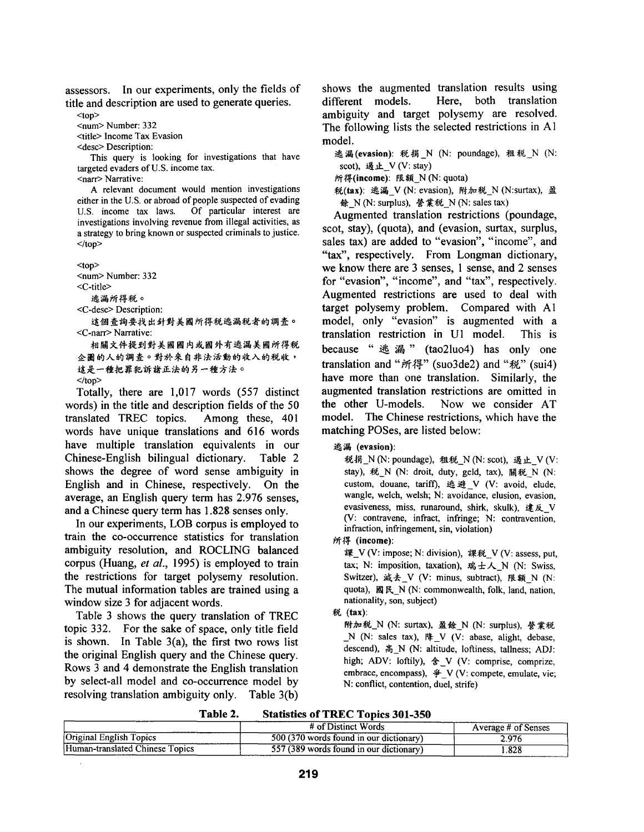assessors. In our experiments, only the fields of title and description are used to generate queries.

 $<sub>top</sub>$ </sub>

<num> Number: 332

<title> Income Tax Evasion

<desc> Description:

This query is looking for investigations that have targeted evaders of U.S. income tax.

<narr> Narrative:

A relevant document would mention investigations either in the U.S. or abroad of people suspected of evading U.S. income tax laws. Of particular interest are investigations involving revenue from illegal activities, as a strategy to bring known or suspected criminals to justice.  $<$ /top>

<top> <num> Number: 332 <C-title> 逃漏所得税。

<C-desc> Description:

這個查詢要找出針對美國所得稅逃漏稅者的調查。 *<C-narr>* Narrative:

相關文件提到對美國國内或國外有逃漏美國所得税 企圖的人的調查。對於來自非法活動的收入的税收, 這是一種把罪犯訴諸正法的另一種方法。  $<$ /top>

Totally, there are 1,017 words (557 distinct words) in the title and description fields of the 50 translated TREC topics. Among these, 401 words have unique translations and 616 words have multiple translation equivalents in our Chinese-English bilingual dictionary. Table 2 shows the degree of word sense ambiguity in English and in Chinese, respectively. On the average, an English query term has 2.976 senses, and a Chinese query term has 1.828 senses only.

In our experiments, LOB corpus is employed to train the co-occurrence statistics for translation ambiguity resolution, and ROCLING balanced corpus (Huang, *et al.,* 1995) is employed to train the restrictions for target polysemy resolution. The mutual information tables are trained using a window size 3 for adjacent words.

Table 3 shows the query translation of TREC topic 332. For the sake of space, only title field is shown. In Table  $3(a)$ , the first two rows list the original English query and the Chinese query. Rows 3 and 4 demonstrate the English translation by select-all model and co-occurrence model by resolving translation ambiguity only. Table 3(b)

shows the augmented translation results using different models. Here, both translation ambiguity and target polysemy are resolved. The following lists the selected restrictions in A1 model.

逃漏(evasion): 税捐 N (N: poundage), 租税 N (N: scot), 過止 V (V: stay)

所得(income): 限額 N(N: quota)

税(tax): 逃漏 V (N: evasion), 附加税\_N (N:surtax), 盈 餘 N(N: surplus), 營業税 N(N: sales tax)

Augmented translation restrictions (poundage, scot, stay), (quota), and (evasion, surtax, surplus, sales tax) are added to "evasion", "income", and "tax", respectively. From Longman dictionary, we know there are 3 senses, 1 sense, and 2 senses for "evasion", "income", and "tax", respectively. Augmented restrictions are used to deal with target polysemy problem. Compared with A1 model, only "evasion" is augmented with a translation restriction in U1 model. This is because " $#$   $#$   $"$  (tao2luo4) has only one translation and "所得" (suo3de2) and "税" (sui4) have more than one translation. Similarly, the augmented translation restrictions are omitted in the other U-models. Now we consider AT model. The Chinese restrictions, which have the matching POSes, are listed below:

税捐  $N(N:$  poundage), 租税  $N(N:$  scot), 過止  $V$  (V: stay), 税 N (N: droit, duty, geld, tax), 關税 N (N: custom, douane, tariff), 逃避 V (V: avoid, elude, wangle, welch, welsh; N: avoidance, elusion, evasion, evasiveness, miss, runaround, shirk, skulk),  $x \not\in \mathbb{R}$  V (V: contravene, infract, infringe; N: contravention, infraction, infringement, sin, violation)

~" ~- **(income):** 

課\_V (V: impose; N: division), 課税\_V (V: assess, put, tax; N: imposition, taxation), 瑞士人\_N (N: Swiss, Switzer), 减去 V (V: minus, subtract), 限額 N (N: quota), 國民\_N (N: commonwealth, folk, land, nation, nationality, son, subject)

### (tax):

附加税\_N (N: surtax), 盈餘\_N (N: surplus), 營業税  $N$  (N: sales tax),  $\frac{R}{r}$  V (V: abase, alight, debase, descend), 高 N (N: altitude, loftiness, tallness; ADJ: high; ADV: loftily),  $\hat{\mathcal{F}}_V$  (V: comprise, comprize, embrace, encompass),  $\hat{\mathcal{F}}$  V (V: compete, emulate, vie; N: conflict, contention, duel, strife)

| <b>Statistics of TREC Topics 301-350</b> | Table 2. |  |  |  |  |
|------------------------------------------|----------|--|--|--|--|
|------------------------------------------|----------|--|--|--|--|

|                                 | # of Distinct Words                     | Average # of Senses |
|---------------------------------|-----------------------------------------|---------------------|
| Original English Topics         | 500 (370 words found in our dictionary) | 2.976               |
| Human-translated Chinese Topics | 557 (389 words found in our dictionary) | .828                |

选漏 (evasion):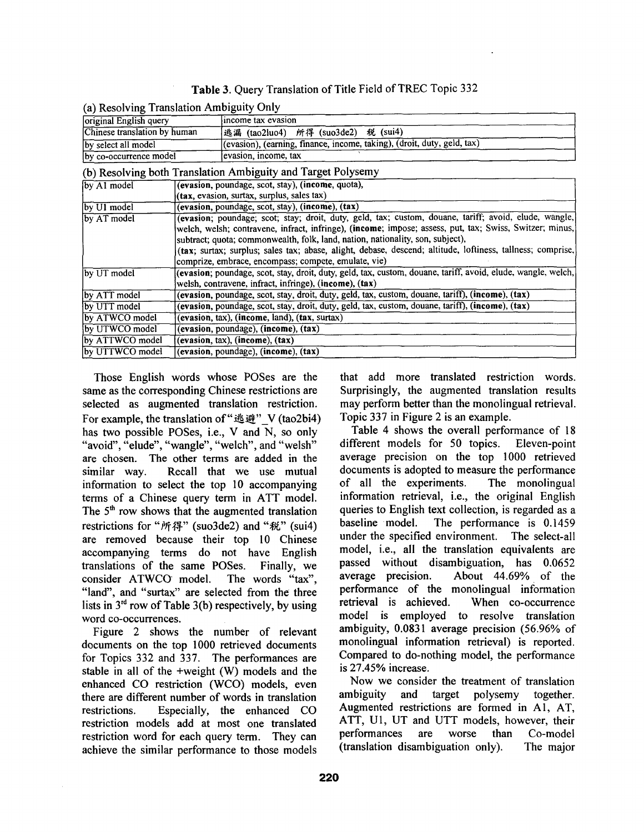|  | Table 3. Query Translation of Title Field of TREC Topic 332 |  |  |
|--|-------------------------------------------------------------|--|--|
|--|-------------------------------------------------------------|--|--|

| $\mathbf{a}$ , resourcing manoment mongone, only                                                                                                                                                                                                                                                                                                                               |                                                                                                                                                                        |                                                                                                       |  |  |  |  |
|--------------------------------------------------------------------------------------------------------------------------------------------------------------------------------------------------------------------------------------------------------------------------------------------------------------------------------------------------------------------------------|------------------------------------------------------------------------------------------------------------------------------------------------------------------------|-------------------------------------------------------------------------------------------------------|--|--|--|--|
| original English query                                                                                                                                                                                                                                                                                                                                                         |                                                                                                                                                                        | income tax evasion                                                                                    |  |  |  |  |
| Chinese translation by human                                                                                                                                                                                                                                                                                                                                                   |                                                                                                                                                                        | 逃漏 (tao2luo4) 所得 (suo3de2) 税 (sui4)                                                                   |  |  |  |  |
| by select all model                                                                                                                                                                                                                                                                                                                                                            |                                                                                                                                                                        | (evasion), (earning, finance, income, taking), (droit, duty, geld, tax)                               |  |  |  |  |
| by co-occurrence model                                                                                                                                                                                                                                                                                                                                                         |                                                                                                                                                                        | evasion, income, tax                                                                                  |  |  |  |  |
|                                                                                                                                                                                                                                                                                                                                                                                |                                                                                                                                                                        | (b) Resolving both Translation Ambiguity and Target Polysemy                                          |  |  |  |  |
| by A1 model                                                                                                                                                                                                                                                                                                                                                                    |                                                                                                                                                                        | (evasion, poundage, scot, stay), (income, quota),                                                     |  |  |  |  |
|                                                                                                                                                                                                                                                                                                                                                                                |                                                                                                                                                                        | (tax, evasion, surtax, surplus, sales tax)                                                            |  |  |  |  |
| by U1 model                                                                                                                                                                                                                                                                                                                                                                    | (evasion, poundage, scot, stay), (income), (tax)                                                                                                                       |                                                                                                       |  |  |  |  |
| by AT model<br>welch, welsh; contravene, infract, infringe), (income; impose; assess, put, tax; Swiss, Switzer; minus,<br>subtract; quota; commonwealth, folk, land, nation, nationality, son, subject),<br>(tax; surtax; surplus; sales tax; abase, alight, debase, descend; altitude, loftiness, tallness; comprise,<br>comprize, embrace, encompass; compete, emulate, vie) |                                                                                                                                                                        | (evasion; poundage; scot; stay; droit, duty, geld, tax; custom, douane, tariff; avoid, elude, wangle, |  |  |  |  |
| by UT model                                                                                                                                                                                                                                                                                                                                                                    | (evasion; poundage, scot, stay, droit, duty, geld, tax, custom, douane, tariff, avoid, elude, wangle, welch,<br>welsh, contravene, infract, infringe), (income), (tax) |                                                                                                       |  |  |  |  |
| by ATT model                                                                                                                                                                                                                                                                                                                                                                   |                                                                                                                                                                        | (evasion, poundage, scot, stay, droit, duty, geld, tax, custom, douane, tariff), (income), (tax)      |  |  |  |  |
| by UTT model                                                                                                                                                                                                                                                                                                                                                                   |                                                                                                                                                                        | (evasion, poundage, scot, stay, droit, duty, geld, tax, custom, douane, tariff), (income), (tax)      |  |  |  |  |
| by ATWCO model                                                                                                                                                                                                                                                                                                                                                                 | (evasion, tax), (income, land), (tax, surtax)                                                                                                                          |                                                                                                       |  |  |  |  |
| by UTWCO model                                                                                                                                                                                                                                                                                                                                                                 |                                                                                                                                                                        |                                                                                                       |  |  |  |  |
|                                                                                                                                                                                                                                                                                                                                                                                | (evasion, poundage), (income), (tax)                                                                                                                                   |                                                                                                       |  |  |  |  |
| by ATTWCO model                                                                                                                                                                                                                                                                                                                                                                |                                                                                                                                                                        | (evasion, tax), (income), (tax)                                                                       |  |  |  |  |
| by UTTWCO model<br>(evasion, poundage), (income), (tax)                                                                                                                                                                                                                                                                                                                        |                                                                                                                                                                        |                                                                                                       |  |  |  |  |

|--|

Those English words whose POSes are the same as the corresponding Chinese restrictions are selected as augmented translation restriction. For example, the translation of " $#$  $#$ " V (tao2bi4) has two possible POSes, i.e., V and N, so only "avoid", "elude", "wangle", "welch", and "welsh" are chosen. The other terms are added in the similar way. Recall that we use mutual information to select the top 10 accompanying terms of a Chinese query term in ATT model. The  $5<sup>th</sup>$  row shows that the augmented translation restrictions for "所得" (suo3de2) and "税" (sui4) are removed because their top 10 Chinese accompanying terms do not have English translations of the same POSes. Finally, we consider ATWCO model. The words "tax", "land", and "surtax" are selected from the three lists in  $3<sup>rd</sup>$  row of Table 3(b) respectively, by using word co-occurrences.

Figure 2 shows the number of relevant documents on the top 1000 retrieved documents for Topics 332 and 337. The performances are stable in all of the +weight (W) models and the enhanced CO restriction (WCO) models, even there are different number of words in translation restrictions. Especially, the enhanced CO restriction models add at most one translated restriction word for each query term. They can achieve the similar performance to those models that add more translated restriction words. Surprisingly, the augmented translation results may perform better than the monolingual retrieval. Topic 337 in Figure 2 is an example.

Table 4 shows the overall performance of 18 different models for 50 topics. Eleven-point average precision on the top 1000 retrieved documents is adopted to measure the performance of all the experiments. The monolingual information retrieval, i.e., the original English queries to English text collection, is regarded as a baseline model. The performance is 0.1459 under the specified environment. The select-all model, i.e., all the translation equivalents are passed without disambiguation, has 0.0652 average precision. About 44.69% of the performance of the monolingual information retrieval is achieved. When co-occurrence model is employed to resolve translation ambiguity, 0.0831 average precision (56.96% of monolingual information retrieval) is reported. Compared to do-nothing model, the performance is 27.45% increase.

Now we consider the treatment of translation ambiguity and target polysemy together. Augmented restrictions are formed in A1, AT, ATT, U1, UT and UTT models, however, their performances are worse than Co-model (translation disambiguation only). The major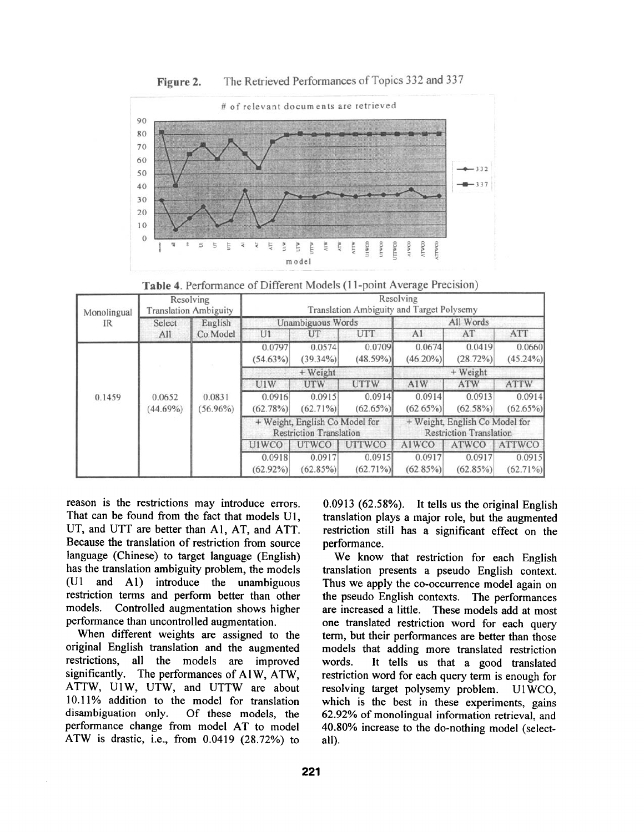

Figure 2. The Retrieved Performances of Topics 332 and 337

Table 4. Performance of Different Models (11-point Average Precision)

| Monolingual<br>IR | Resolving<br><b>Translation Ambiguity</b> |                                                                  | Resolving<br>Translation Ambiguity and Target Polysemy |                                                                  |                       |                       |                       |                       |
|-------------------|-------------------------------------------|------------------------------------------------------------------|--------------------------------------------------------|------------------------------------------------------------------|-----------------------|-----------------------|-----------------------|-----------------------|
|                   | English<br>Select                         |                                                                  | Unambiguous Words                                      |                                                                  | All Words             |                       |                       |                       |
|                   | All                                       | Co Model                                                         | U1                                                     | UT                                                               | <b>UTT</b>            | A1                    | AT                    | <b>ATT</b>            |
| 0.1459            |                                           | 0.0831<br>$(56.96\%)$                                            | 0.0797<br>$(54.63\%)$                                  | 0.0574<br>$(39.34\%)$                                            | 0.0709<br>(48.59%)    | 0.0674<br>$(46.20\%)$ | 0.0419<br>(28.72%)    | 0.0660<br>$(45.24\%)$ |
|                   | 0.0652<br>(44.69%)                        |                                                                  | $+$ Weight                                             |                                                                  |                       | $+$ Weight            |                       |                       |
|                   |                                           |                                                                  | U1W                                                    | UTW.                                                             | <b>UTTW</b>           | A1W                   | <b>ATW</b>            | <b>ATTW</b>           |
|                   |                                           |                                                                  | 0.0916                                                 | 0.0915                                                           | 0.0914                | 0.0914                | 0.0913                | 0.0914                |
|                   |                                           |                                                                  | (62.78%)                                               | $(62.71\%)$                                                      | $(62.65\%)$           | $(62.65\%)$           | $(62.58\%)$           | $(62.65\%)$           |
|                   |                                           | + Weight, English Co Model for<br><b>Restriction Translation</b> |                                                        | + Weight, English Co Model for<br><b>Restriction Translation</b> |                       |                       |                       |                       |
|                   |                                           |                                                                  | U1WCO                                                  | <b>UTWCO</b>                                                     | <b>UTTWCO</b>         | A1WCO                 | <b>ATWCO</b>          | <b>ATTWCO</b>         |
|                   |                                           |                                                                  | 0.0918<br>$(62.92\%)$                                  | 0.0917<br>$(62.85\%)$                                            | 0.0915<br>$(62.71\%)$ | 0.0917<br>$(62.85\%)$ | 0.0917<br>$(62.85\%)$ | 0.0915<br>$(62.71\%)$ |

reason is the restrictions may introduce errors. That can be found from the fact that models U1, UT, and UTT are better than A1, AT, and ATT. Because the translation of restriction from source language (Chinese) to target language (English) has the translation ambiguity problem, the models (U1 and A1) introduce the unambiguous restriction terms and perform better than other models. Controlled augmentation shows higher performance than uncontrolled augmentation.

When different weights are assigned to the original English translation and the augmented restrictions, all the models are improved significantly. The performances of A1W, ATW, ATTW, U1W, UTW, and UTTW are about 10.11% addition to the model for translation disambiguation only. Of these models, the performance change from model AT to model ATW is drastic, i.e., from 0.0419 (28.72%) to 0.0913 (62.58%). It tells us the original English translation plays a major role, but the augmented restriction still has a significant effect on the performance.

We know that restriction for each English translation presents a pseudo English context. Thus we apply the co-occurrence model again on the pseudo English contexts. The performances are increased a little. These models add at most one translated restriction word for each query term, but their performances are better than those models that adding more translated restriction words. It tells us that a good translated restriction word for each query term is enough for resolving target polysemy problem. U1WCO, which is the best in these experiments, gains 62.92% of monolingual information retrieval, and 40.80% increase to the do-nothing model (selectall).